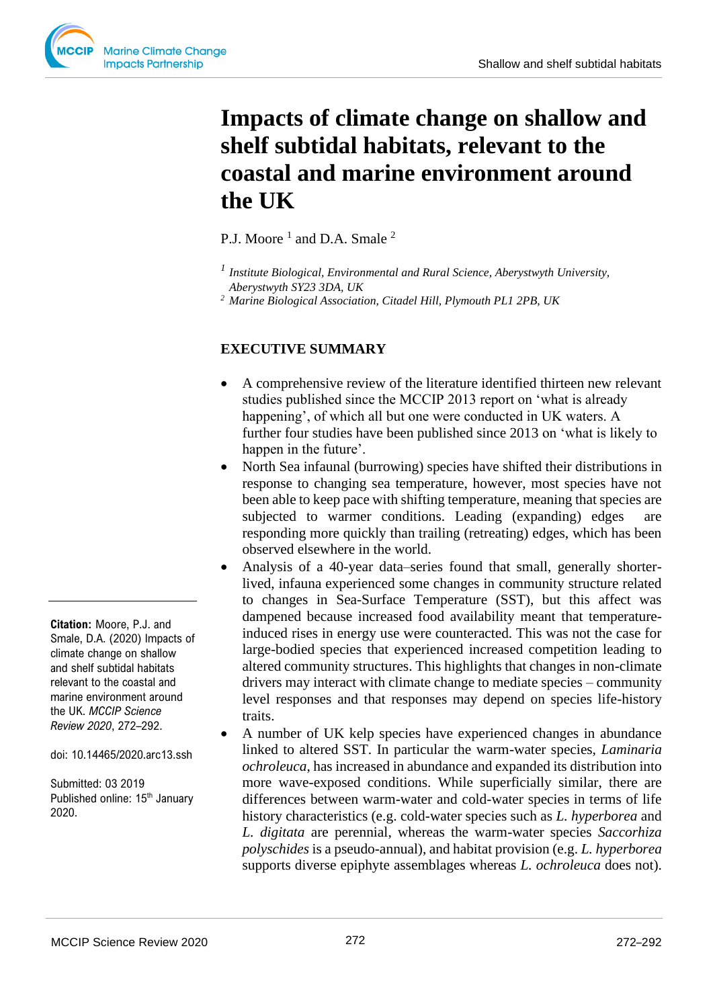# **Impacts of climate change on shallow and shelf subtidal habitats, relevant to the coastal and marine environment around the UK**

P.J. Moore<sup>1</sup> and D.A. Smale<sup>2</sup>

*<sup>1</sup>Institute Biological, Environmental and Rural Science, Aberystwyth University, Aberystwyth SY23 3DA, UK* 

*<sup>2</sup>Marine Biological Association, Citadel Hill, Plymouth PL1 2PB, UK* 

# **EXECUTIVE SUMMARY**

- A comprehensive review of the literature identified thirteen new relevant studies published since the MCCIP 2013 report on 'what is already happening', of which all but one were conducted in UK waters. A further four studies have been published since 2013 on 'what is likely to happen in the future'.
- North Sea infaunal (burrowing) species have shifted their distributions in response to changing sea temperature, however, most species have not been able to keep pace with shifting temperature, meaning that species are subjected to warmer conditions. Leading (expanding) edges are responding more quickly than trailing (retreating) edges, which has been observed elsewhere in the world.
- Analysis of a 40-year data–series found that small, generally shorterlived, infauna experienced some changes in community structure related to changes in Sea-Surface Temperature (SST), but this affect was dampened because increased food availability meant that temperatureinduced rises in energy use were counteracted. This was not the case for large-bodied species that experienced increased competition leading to altered community structures. This highlights that changes in non-climate drivers may interact with climate change to mediate species – community level responses and that responses may depend on species life-history traits.
- A number of UK kelp species have experienced changes in abundance linked to altered SST. In particular the warm-water species, *Laminaria ochroleuca*, has increased in abundance and expanded its distribution into more wave-exposed conditions. While superficially similar, there are differences between warm-water and cold-water species in terms of life history characteristics (e.g. cold-water species such as *L. hyperborea* and *L. digitata* are perennial, whereas the warm-water species *Saccorhiza polyschides* is a pseudo-annual), and habitat provision (e.g. *L. hyperborea* supports diverse epiphyte assemblages whereas *L. ochroleuca* does not).

**Citation:** Moore, P.J. and Smale, D.A. (2020) Impacts of climate change on shallow and shelf subtidal habitats relevant to the coastal and marine environment around the UK. *MCCIP Science Review 2020*, 272–292.

doi: 10.14465/2020.arc13.ssh

Submitted: 03 2019 Published online: 15<sup>th</sup> January 2020.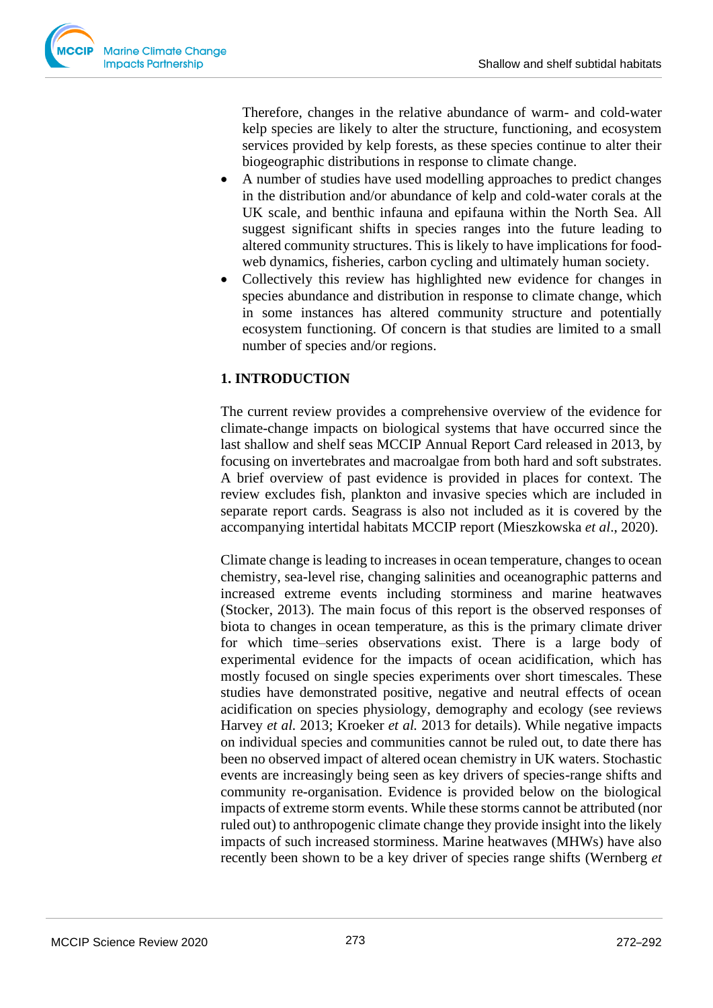Therefore, changes in the relative abundance of warm- and cold-water kelp species are likely to alter the structure, functioning, and ecosystem services provided by kelp forests, as these species continue to alter their biogeographic distributions in response to climate change.

- A number of studies have used modelling approaches to predict changes in the distribution and/or abundance of kelp and cold-water corals at the UK scale, and benthic infauna and epifauna within the North Sea. All suggest significant shifts in species ranges into the future leading to altered community structures. This is likely to have implications for foodweb dynamics, fisheries, carbon cycling and ultimately human society.
- Collectively this review has highlighted new evidence for changes in species abundance and distribution in response to climate change, which in some instances has altered community structure and potentially ecosystem functioning. Of concern is that studies are limited to a small number of species and/or regions.

# **1. INTRODUCTION**

The current review provides a comprehensive overview of the evidence for climate-change impacts on biological systems that have occurred since the last shallow and shelf seas MCCIP Annual Report Card released in 2013, by focusing on invertebrates and macroalgae from both hard and soft substrates. A brief overview of past evidence is provided in places for context. The review excludes fish, plankton and invasive species which are included in separate report cards. Seagrass is also not included as it is covered by the accompanying intertidal habitats MCCIP report (Mieszkowska *et al*., 2020).

Climate change is leading to increases in ocean temperature, changes to ocean chemistry, sea-level rise, changing salinities and oceanographic patterns and increased extreme events including storminess and marine heatwaves (Stocker, 2013). The main focus of this report is the observed responses of biota to changes in ocean temperature, as this is the primary climate driver for which time–series observations exist. There is a large body of experimental evidence for the impacts of ocean acidification, which has mostly focused on single species experiments over short timescales. These studies have demonstrated positive, negative and neutral effects of ocean acidification on species physiology, demography and ecology (see reviews Harvey *et al.* 2013; Kroeker *et al.* 2013 for details). While negative impacts on individual species and communities cannot be ruled out, to date there has been no observed impact of altered ocean chemistry in UK waters. Stochastic events are increasingly being seen as key drivers of species-range shifts and community re-organisation. Evidence is provided below on the biological impacts of extreme storm events. While these storms cannot be attributed (nor ruled out) to anthropogenic climate change they provide insight into the likely impacts of such increased storminess. Marine heatwaves (MHWs) have also recently been shown to be a key driver of species range shifts (Wernberg *et*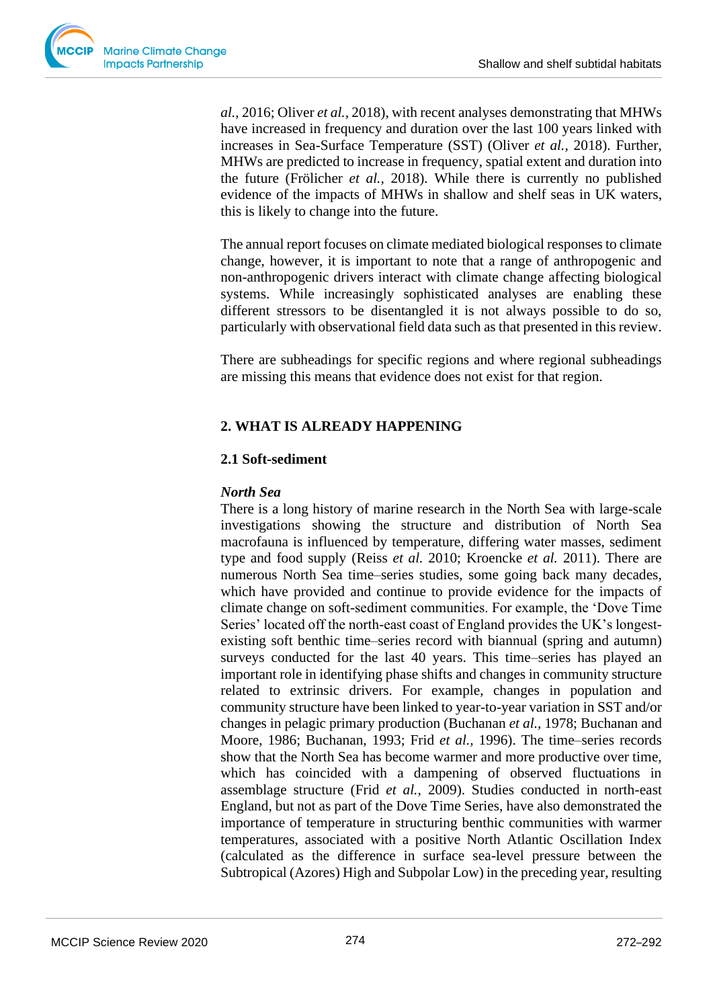*al.,* 2016; Oliver *et al.,* 2018), with recent analyses demonstrating that MHWs have increased in frequency and duration over the last 100 years linked with increases in Sea-Surface Temperature (SST) (Oliver *et al.,* 2018). Further, MHWs are predicted to increase in frequency, spatial extent and duration into the future (Frölicher *et al.,* 2018). While there is currently no published evidence of the impacts of MHWs in shallow and shelf seas in UK waters, this is likely to change into the future.

The annual report focuses on climate mediated biological responses to climate change, however, it is important to note that a range of anthropogenic and non-anthropogenic drivers interact with climate change affecting biological systems. While increasingly sophisticated analyses are enabling these different stressors to be disentangled it is not always possible to do so, particularly with observational field data such as that presented in this review.

There are subheadings for specific regions and where regional subheadings are missing this means that evidence does not exist for that region.

# **2. WHAT IS ALREADY HAPPENING**

## **2.1 Soft-sediment**

## *North Sea*

There is a long history of marine research in the North Sea with large-scale investigations showing the structure and distribution of North Sea macrofauna is influenced by temperature, differing water masses, sediment type and food supply (Reiss *et al.* 2010; Kroencke *et al.* 2011). There are numerous North Sea time–series studies, some going back many decades, which have provided and continue to provide evidence for the impacts of climate change on soft-sediment communities. For example, the 'Dove Time Series' located off the north-east coast of England provides the UK's longestexisting soft benthic time–series record with biannual (spring and autumn) surveys conducted for the last 40 years. This time–series has played an important role in identifying phase shifts and changes in community structure related to extrinsic drivers. For example, changes in population and community structure have been linked to year-to-year variation in SST and/or changes in pelagic primary production (Buchanan *et al.,* 1978; Buchanan and Moore, 1986; Buchanan, 1993; Frid *et al.,* 1996). The time–series records show that the North Sea has become warmer and more productive over time, which has coincided with a dampening of observed fluctuations in assemblage structure (Frid *et al.,* 2009). Studies conducted in north-east England, but not as part of the Dove Time Series, have also demonstrated the importance of temperature in structuring benthic communities with warmer temperatures, associated with a positive North Atlantic Oscillation Index (calculated as the difference in surface sea-level pressure between the Subtropical (Azores) High and Subpolar Low) in the preceding year, resulting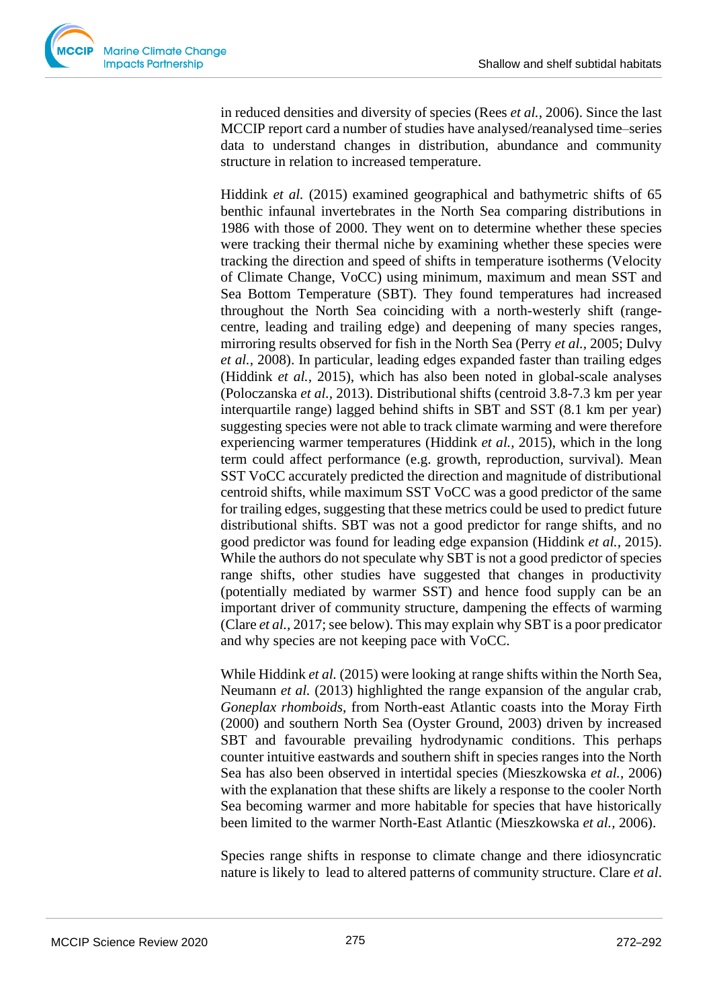in reduced densities and diversity of species (Rees *et al.,* 2006). Since the last MCCIP report card a number of studies have analysed/reanalysed time–series data to understand changes in distribution, abundance and community structure in relation to increased temperature.

Hiddink *et al.* (2015) examined geographical and bathymetric shifts of 65 benthic infaunal invertebrates in the North Sea comparing distributions in 1986 with those of 2000. They went on to determine whether these species were tracking their thermal niche by examining whether these species were tracking the direction and speed of shifts in temperature isotherms (Velocity of Climate Change, VoCC) using minimum, maximum and mean SST and Sea Bottom Temperature (SBT). They found temperatures had increased throughout the North Sea coinciding with a north-westerly shift (rangecentre, leading and trailing edge) and deepening of many species ranges, mirroring results observed for fish in the North Sea (Perry *et al.,* 2005; Dulvy *et al.,* 2008). In particular, leading edges expanded faster than trailing edges (Hiddink *et al.,* 2015), which has also been noted in global-scale analyses (Poloczanska *et al.,* 2013). Distributional shifts (centroid 3.8-7.3 km per year interquartile range) lagged behind shifts in SBT and SST (8.1 km per year) suggesting species were not able to track climate warming and were therefore experiencing warmer temperatures (Hiddink *et al.,* 2015), which in the long term could affect performance (e.g. growth, reproduction, survival). Mean SST VoCC accurately predicted the direction and magnitude of distributional centroid shifts, while maximum SST VoCC was a good predictor of the same for trailing edges, suggesting that these metrics could be used to predict future distributional shifts. SBT was not a good predictor for range shifts, and no good predictor was found for leading edge expansion (Hiddink *et al.,* 2015). While the authors do not speculate why SBT is not a good predictor of species range shifts, other studies have suggested that changes in productivity (potentially mediated by warmer SST) and hence food supply can be an important driver of community structure, dampening the effects of warming (Clare *et al.,* 2017; see below). This may explain why SBT is a poor predicator and why species are not keeping pace with VoCC.

While Hiddink *et al.* (2015) were looking at range shifts within the North Sea, Neumann *et al.* (2013) highlighted the range expansion of the angular crab, *Goneplax rhomboids*, from North-east Atlantic coasts into the Moray Firth (2000) and southern North Sea (Oyster Ground, 2003) driven by increased SBT and favourable prevailing hydrodynamic conditions. This perhaps counter intuitive eastwards and southern shift in species ranges into the North Sea has also been observed in intertidal species (Mieszkowska *et al.,* 2006) with the explanation that these shifts are likely a response to the cooler North Sea becoming warmer and more habitable for species that have historically been limited to the warmer North-East Atlantic (Mieszkowska *et al.,* 2006).

Species range shifts in response to climate change and there idiosyncratic nature is likely to lead to altered patterns of community structure. Clare *et al*.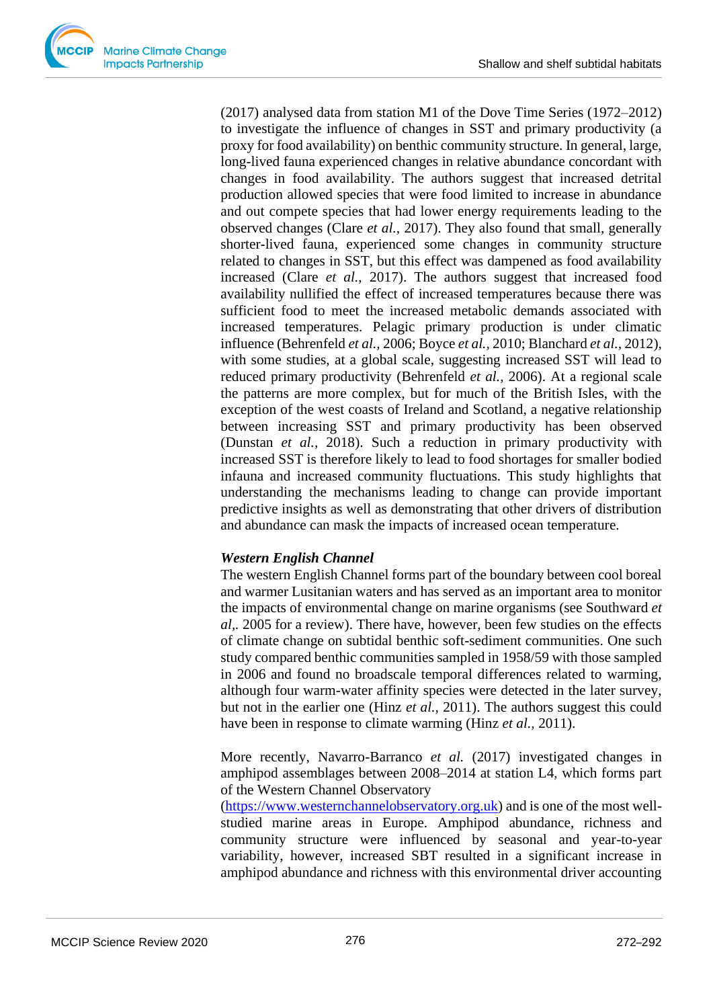

(2017) analysed data from station M1 of the Dove Time Series (1972–2012) to investigate the influence of changes in SST and primary productivity (a proxy for food availability) on benthic community structure. In general, large, long-lived fauna experienced changes in relative abundance concordant with changes in food availability. The authors suggest that increased detrital production allowed species that were food limited to increase in abundance and out compete species that had lower energy requirements leading to the observed changes (Clare *et al.,* 2017). They also found that small, generally shorter-lived fauna, experienced some changes in community structure related to changes in SST, but this effect was dampened as food availability increased (Clare *et al.,* 2017). The authors suggest that increased food availability nullified the effect of increased temperatures because there was sufficient food to meet the increased metabolic demands associated with increased temperatures. Pelagic primary production is under climatic influence (Behrenfeld *et al.,* 2006; Boyce *et al.,* 2010; Blanchard *et al.,* 2012), with some studies, at a global scale, suggesting increased SST will lead to reduced primary productivity (Behrenfeld *et al.,* 2006). At a regional scale the patterns are more complex, but for much of the British Isles, with the exception of the west coasts of Ireland and Scotland, a negative relationship between increasing SST and primary productivity has been observed (Dunstan *et al.,* 2018). Such a reduction in primary productivity with increased SST is therefore likely to lead to food shortages for smaller bodied infauna and increased community fluctuations. This study highlights that understanding the mechanisms leading to change can provide important predictive insights as well as demonstrating that other drivers of distribution and abundance can mask the impacts of increased ocean temperature.

## *Western English Channel*

The western English Channel forms part of the boundary between cool boreal and warmer Lusitanian waters and has served as an important area to monitor the impacts of environmental change on marine organisms (see Southward *et al,.* 2005 for a review). There have, however, been few studies on the effects of climate change on subtidal benthic soft-sediment communities. One such study compared benthic communities sampled in 1958/59 with those sampled in 2006 and found no broadscale temporal differences related to warming, although four warm-water affinity species were detected in the later survey, but not in the earlier one (Hinz *et al.,* 2011). The authors suggest this could have been in response to climate warming (Hinz *et al.,* 2011).

More recently, Navarro-Barranco *et al.* (2017) investigated changes in amphipod assemblages between 2008–2014 at station L4, which forms part of the Western Channel Observatory

[\(https://www.westernchannelobservatory.org.uk\)](https://www.westernchannelobservatory.org.uk/) and is one of the most wellstudied marine areas in Europe. Amphipod abundance, richness and community structure were influenced by seasonal and year-to-year variability, however, increased SBT resulted in a significant increase in amphipod abundance and richness with this environmental driver accounting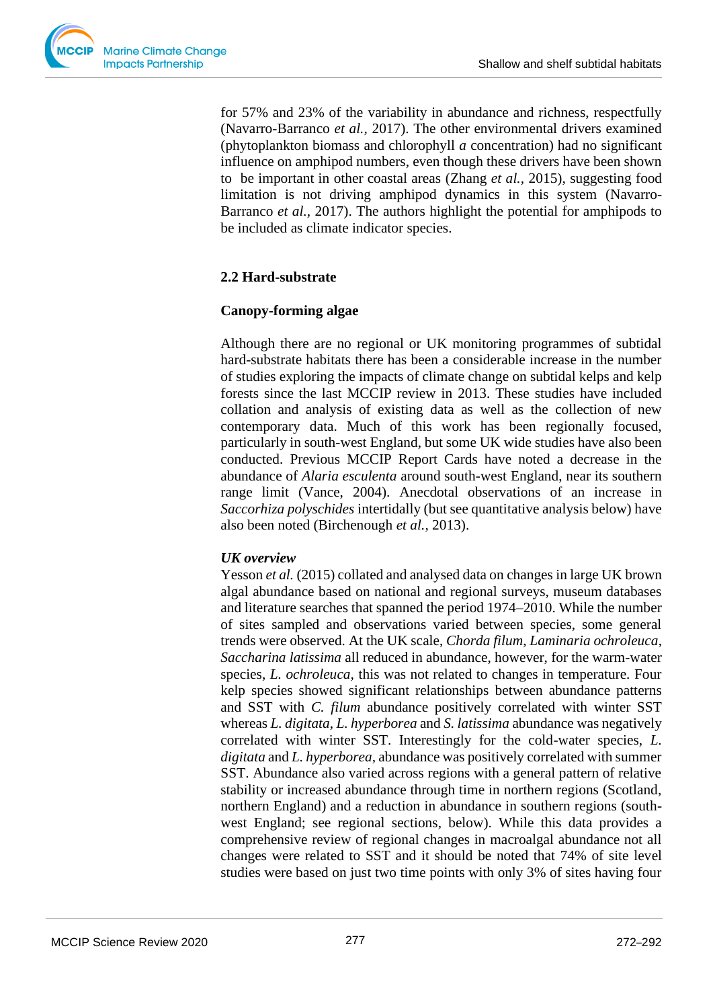for 57% and 23% of the variability in abundance and richness, respectfully (Navarro-Barranco *et al.,* 2017). The other environmental drivers examined (phytoplankton biomass and chlorophyll *a* concentration) had no significant influence on amphipod numbers, even though these drivers have been shown to be important in other coastal areas (Zhang *et al.,* 2015), suggesting food limitation is not driving amphipod dynamics in this system (Navarro-Barranco *et al.,* 2017). The authors highlight the potential for amphipods to be included as climate indicator species.

# **2.2 Hard-substrate**

## **Canopy-forming algae**

Although there are no regional or UK monitoring programmes of subtidal hard-substrate habitats there has been a considerable increase in the number of studies exploring the impacts of climate change on subtidal kelps and kelp forests since the last MCCIP review in 2013. These studies have included collation and analysis of existing data as well as the collection of new contemporary data. Much of this work has been regionally focused, particularly in south-west England, but some UK wide studies have also been conducted. Previous MCCIP Report Cards have noted a decrease in the abundance of *Alaria esculenta* around south-west England, near its southern range limit (Vance, 2004). Anecdotal observations of an increase in *Saccorhiza polyschides* intertidally (but see quantitative analysis below) have also been noted (Birchenough *et al.,* 2013).

# *UK overview*

Yesson *et al.* (2015) collated and analysed data on changes in large UK brown algal abundance based on national and regional surveys, museum databases and literature searches that spanned the period 1974–2010. While the number of sites sampled and observations varied between species, some general trends were observed. At the UK scale, *Chorda filum*, *Laminaria ochroleuca*, *Saccharina latissima* all reduced in abundance, however, for the warm-water species, *L. ochroleuca,* this was not related to changes in temperature. Four kelp species showed significant relationships between abundance patterns and SST with *C. filum* abundance positively correlated with winter SST whereas *L. digitata*, *L. hyperborea* and *S. latissima* abundance was negatively correlated with winter SST. Interestingly for the cold-water species, *L. digitata* and *L. hyperborea,* abundance was positively correlated with summer SST. Abundance also varied across regions with a general pattern of relative stability or increased abundance through time in northern regions (Scotland, northern England) and a reduction in abundance in southern regions (southwest England; see regional sections, below). While this data provides a comprehensive review of regional changes in macroalgal abundance not all changes were related to SST and it should be noted that 74% of site level studies were based on just two time points with only 3% of sites having four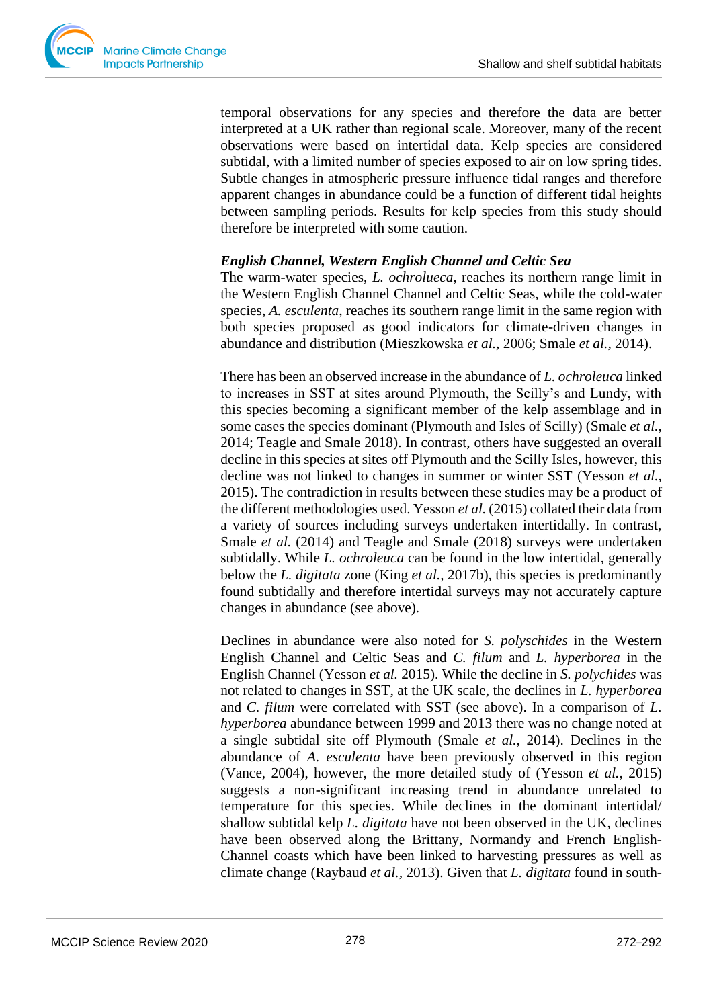

temporal observations for any species and therefore the data are better interpreted at a UK rather than regional scale. Moreover, many of the recent observations were based on intertidal data. Kelp species are considered subtidal, with a limited number of species exposed to air on low spring tides. Subtle changes in atmospheric pressure influence tidal ranges and therefore apparent changes in abundance could be a function of different tidal heights between sampling periods. Results for kelp species from this study should therefore be interpreted with some caution.

## *English Channel, Western English Channel and Celtic Sea*

The warm-water species, *L. ochrolueca*, reaches its northern range limit in the Western English Channel Channel and Celtic Seas, while the cold-water species, *A. esculenta*, reaches its southern range limit in the same region with both species proposed as good indicators for climate-driven changes in abundance and distribution (Mieszkowska *et al.,* 2006; Smale *et al.,* 2014).

There has been an observed increase in the abundance of *L. ochroleuca* linked to increases in SST at sites around Plymouth, the Scilly's and Lundy, with this species becoming a significant member of the kelp assemblage and in some cases the species dominant (Plymouth and Isles of Scilly) (Smale *et al.,* 2014; Teagle and Smale 2018). In contrast, others have suggested an overall decline in this species at sites off Plymouth and the Scilly Isles, however, this decline was not linked to changes in summer or winter SST (Yesson *et al.,* 2015). The contradiction in results between these studies may be a product of the different methodologies used. Yesson *et al.* (2015) collated their data from a variety of sources including surveys undertaken intertidally. In contrast, Smale *et al.* (2014) and Teagle and Smale (2018) surveys were undertaken subtidally. While *L. ochroleuca* can be found in the low intertidal, generally below the *L. digitata* zone (King *et al.,* 2017b), this species is predominantly found subtidally and therefore intertidal surveys may not accurately capture changes in abundance (see above).

Declines in abundance were also noted for *S. polyschides* in the Western English Channel and Celtic Seas and *C. filum* and *L. hyperborea* in the English Channel (Yesson *et al.* 2015). While the decline in *S. polychides* was not related to changes in SST, at the UK scale, the declines in *L. hyperborea* and *C. filum* were correlated with SST (see above). In a comparison of *L. hyperborea* abundance between 1999 and 2013 there was no change noted at a single subtidal site off Plymouth (Smale *et al.,* 2014). Declines in the abundance of *A. esculenta* have been previously observed in this region (Vance, 2004), however, the more detailed study of (Yesson *et al.,* 2015) suggests a non-significant increasing trend in abundance unrelated to temperature for this species. While declines in the dominant intertidal/ shallow subtidal kelp *L. digitata* have not been observed in the UK, declines have been observed along the Brittany, Normandy and French English-Channel coasts which have been linked to harvesting pressures as well as climate change (Raybaud *et al.,* 2013). Given that *L. digitata* found in south-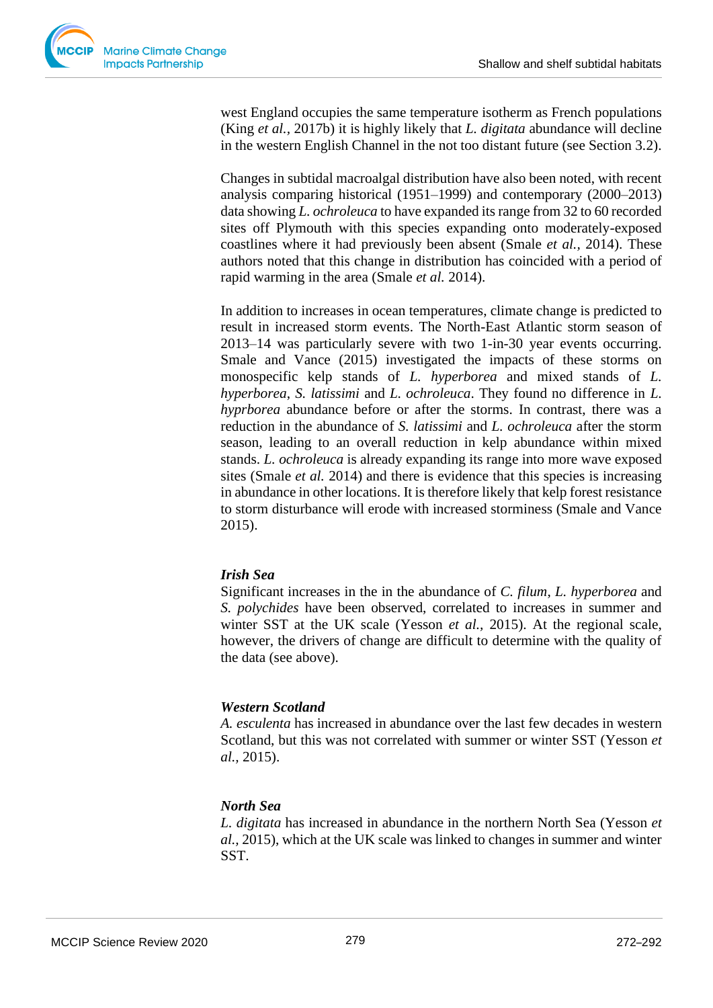

west England occupies the same temperature isotherm as French populations (King *et al.,* 2017b) it is highly likely that *L. digitata* abundance will decline in the western English Channel in the not too distant future (see Section 3.2).

Changes in subtidal macroalgal distribution have also been noted, with recent analysis comparing historical (1951–1999) and contemporary (2000–2013) data showing *L. ochroleuca* to have expanded its range from 32 to 60 recorded sites off Plymouth with this species expanding onto moderately-exposed coastlines where it had previously been absent (Smale *et al.,* 2014). These authors noted that this change in distribution has coincided with a period of rapid warming in the area (Smale *et al.* 2014).

In addition to increases in ocean temperatures, climate change is predicted to result in increased storm events. The North-East Atlantic storm season of 2013–14 was particularly severe with two 1-in-30 year events occurring. Smale and Vance (2015) investigated the impacts of these storms on monospecific kelp stands of *L. hyperborea* and mixed stands of *L. hyperborea*, *S. latissimi* and *L. ochroleuca*. They found no difference in *L. hyprborea* abundance before or after the storms. In contrast, there was a reduction in the abundance of *S. latissimi* and *L. ochroleuca* after the storm season, leading to an overall reduction in kelp abundance within mixed stands. *L. ochroleuca* is already expanding its range into more wave exposed sites (Smale *et al.* 2014) and there is evidence that this species is increasing in abundance in other locations. It is therefore likely that kelp forest resistance to storm disturbance will erode with increased storminess (Smale and Vance 2015).

## *Irish Sea*

Significant increases in the in the abundance of *C. filum*, *L. hyperborea* and *S. polychides* have been observed, correlated to increases in summer and winter SST at the UK scale (Yesson *et al.,* 2015). At the regional scale, however, the drivers of change are difficult to determine with the quality of the data (see above).

## *Western Scotland*

*A. esculenta* has increased in abundance over the last few decades in western Scotland, but this was not correlated with summer or winter SST (Yesson *et al.,* 2015).

## *North Sea*

*L. digitata* has increased in abundance in the northern North Sea (Yesson *et al.,* 2015), which at the UK scale was linked to changes in summer and winter SST.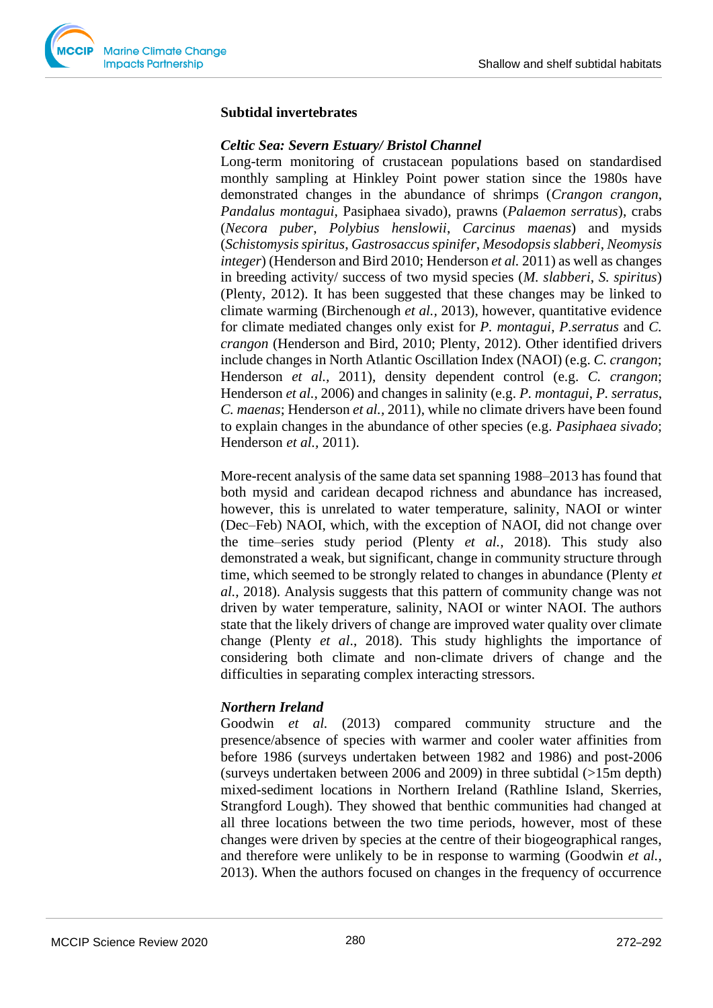

#### **Subtidal invertebrates**

#### *Celtic Sea: Severn Estuary/ Bristol Channel*

Long-term monitoring of crustacean populations based on standardised monthly sampling at Hinkley Point power station since the 1980s have demonstrated changes in the abundance of shrimps (*Crangon crangon*, *Pandalus montagui*, Pasiphaea sivado), prawns (*Palaemon serratus*), crabs (*Necora puber*, *Polybius henslowii*, *Carcinus maenas*) and mysids (*Schistomysis spiritus*, *Gastrosaccus spinifer*, *Mesodopsis slabberi*, *Neomysis integer*) (Henderson and Bird 2010; Henderson *et al.* 2011) as well as changes in breeding activity/ success of two mysid species (*M. slabberi*, *S. spiritus*) (Plenty, 2012). It has been suggested that these changes may be linked to climate warming (Birchenough *et al.,* 2013), however, quantitative evidence for climate mediated changes only exist for *P. montagui*, *P.serratus* and *C. crangon* (Henderson and Bird, 2010; Plenty, 2012). Other identified drivers include changes in North Atlantic Oscillation Index (NAOI) (e.g. *C. crangon*; Henderson *et al.,* 2011), density dependent control (e.g. *C. crangon*; Henderson *et al.,* 2006) and changes in salinity (e.g. *P. montagui*, *P. serratus*, *C. maenas*; Henderson *et al.,* 2011), while no climate drivers have been found to explain changes in the abundance of other species (e.g. *Pasiphaea sivado*; Henderson *et al.,* 2011).

More-recent analysis of the same data set spanning 1988–2013 has found that both mysid and caridean decapod richness and abundance has increased, however, this is unrelated to water temperature, salinity, NAOI or winter (Dec–Feb) NAOI, which, with the exception of NAOI, did not change over the time–series study period (Plenty *et al.,* 2018). This study also demonstrated a weak, but significant, change in community structure through time, which seemed to be strongly related to changes in abundance (Plenty *et al.,* 2018). Analysis suggests that this pattern of community change was not driven by water temperature, salinity, NAOI or winter NAOI. The authors state that the likely drivers of change are improved water quality over climate change (Plenty *et al*., 2018). This study highlights the importance of considering both climate and non-climate drivers of change and the difficulties in separating complex interacting stressors.

## *Northern Ireland*

Goodwin *et al.* (2013) compared community structure and the presence/absence of species with warmer and cooler water affinities from before 1986 (surveys undertaken between 1982 and 1986) and post-2006 (surveys undertaken between 2006 and 2009) in three subtidal (>15m depth) mixed-sediment locations in Northern Ireland (Rathline Island, Skerries, Strangford Lough). They showed that benthic communities had changed at all three locations between the two time periods, however, most of these changes were driven by species at the centre of their biogeographical ranges, and therefore were unlikely to be in response to warming (Goodwin *et al.,* 2013). When the authors focused on changes in the frequency of occurrence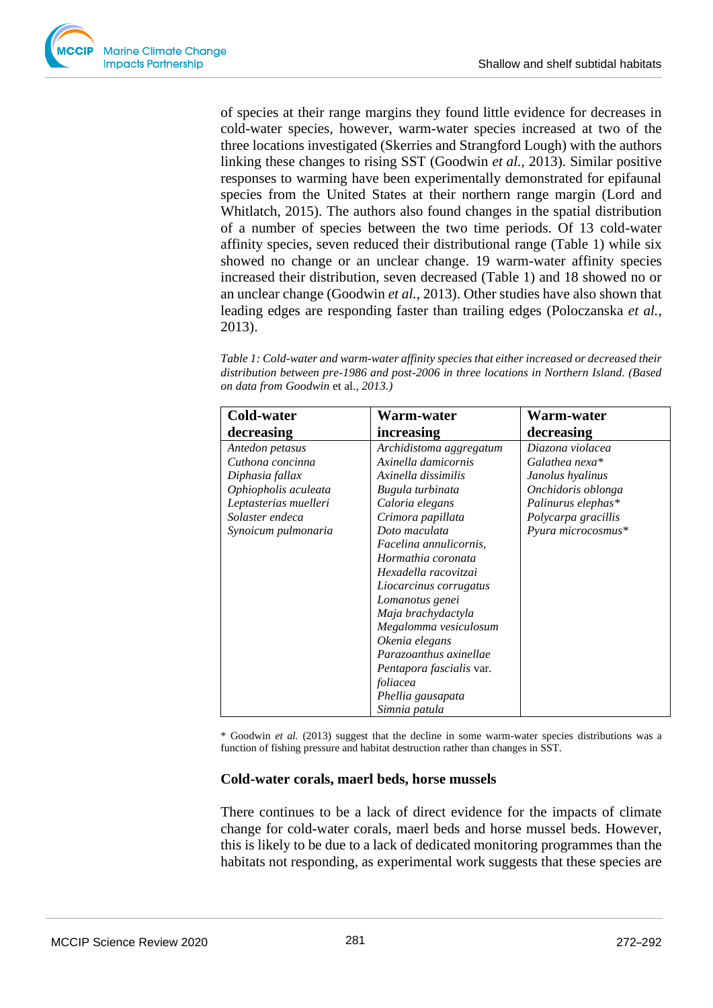of species at their range margins they found little evidence for decreases in cold-water species, however, warm-water species increased at two of the three locations investigated (Skerries and Strangford Lough) with the authors linking these changes to rising SST (Goodwin *et al.,* 2013). Similar positive responses to warming have been experimentally demonstrated for epifaunal species from the United States at their northern range margin (Lord and Whitlatch, 2015). The authors also found changes in the spatial distribution of a number of species between the two time periods. Of 13 cold-water affinity species, seven reduced their distributional range (Table 1) while six showed no change or an unclear change. 19 warm-water affinity species increased their distribution, seven decreased (Table 1) and 18 showed no or an unclear change (Goodwin *et al.,* 2013). Other studies have also shown that leading edges are responding faster than trailing edges (Poloczanska *et al.,* 2013).

*Table 1: Cold-water and warm-water affinity species that either increased or decreased their distribution between pre-1986 and post-2006 in three locations in Northern Island. (Based on data from Goodwin* et al.*, 2013.)*

| <b>Cold-water</b>     | Warm-water               | <b>Warm-water</b>   |
|-----------------------|--------------------------|---------------------|
| decreasing            | increasing               | decreasing          |
| Antedon petasus       | Archidistoma aggregatum  | Diazona violacea    |
| Cuthona concinna      | Axinella damicornis      | Galathea nexa*      |
| Diphasia fallax       | Axinella dissimilis      | Janolus hyalinus    |
| Ophiopholis aculeata  | Bugula turbinata         | Onchidoris oblonga  |
| Leptasterias muelleri | Caloria elegans          | Palinurus elephas*  |
| Solaster endeca       | Crimora papillata        | Polycarpa gracillis |
| Synoicum pulmonaria   | Doto maculata            | Pyura microcosmus*  |
|                       | Facelina annulicornis,   |                     |
|                       | Hormathia coronata       |                     |
|                       | Hexadella racovitzai     |                     |
|                       | Liocarcinus corrugatus   |                     |
|                       | Lomanotus genei          |                     |
|                       | Maja brachydactyla       |                     |
|                       | Megalomma vesiculosum    |                     |
|                       | Okenia elegans           |                     |
|                       | Parazoanthus axinellae   |                     |
|                       | Pentapora fascialis var. |                     |
|                       | foliacea                 |                     |
|                       | Phellia gausapata        |                     |
|                       | Simnia patula            |                     |

\* Goodwin *et al.* (2013) suggest that the decline in some warm-water species distributions was a function of fishing pressure and habitat destruction rather than changes in SST.

## **Cold-water corals, maerl beds, horse mussels**

There continues to be a lack of direct evidence for the impacts of climate change for cold-water corals, maerl beds and horse mussel beds. However, this is likely to be due to a lack of dedicated monitoring programmes than the habitats not responding, as experimental work suggests that these species are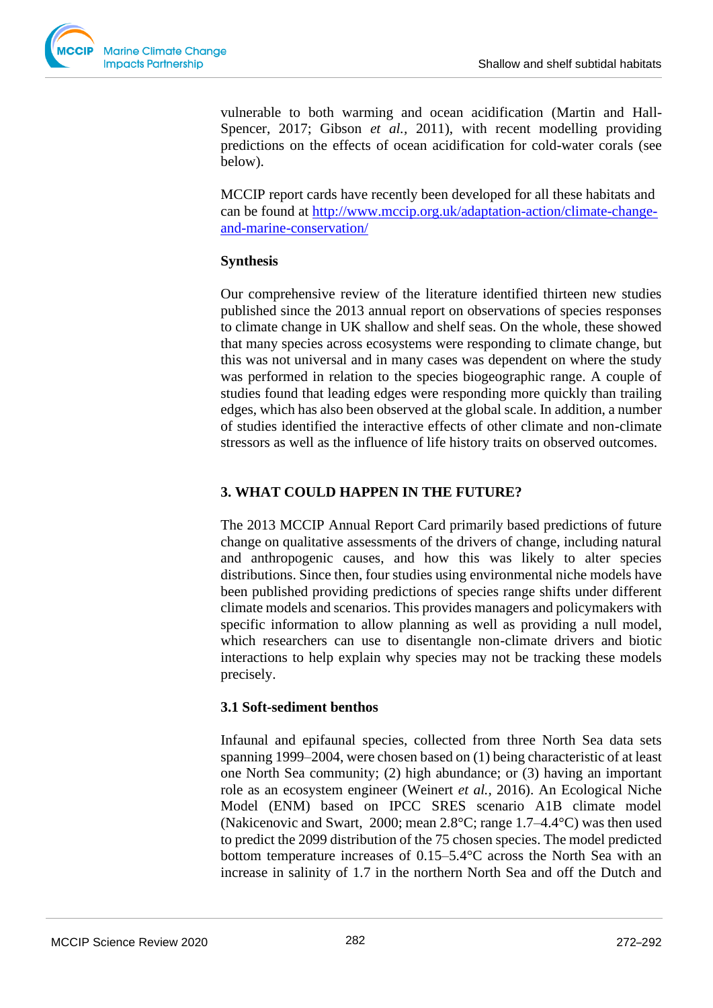

vulnerable to both warming and ocean acidification (Martin and Hall-Spencer, 2017; Gibson *et al.*, 2011), with recent modelling providing predictions on the effects of ocean acidification for cold-water corals (see below).

MCCIP report cards have recently been developed for all these habitats and can be found at [http://www.mccip.org.uk/adaptation-action/climate-change](http://www.mccip.org.uk/adaptation-action/climate-change-and-marine-conservation/)[and-marine-conservation/](http://www.mccip.org.uk/adaptation-action/climate-change-and-marine-conservation/)

## **Synthesis**

Our comprehensive review of the literature identified thirteen new studies published since the 2013 annual report on observations of species responses to climate change in UK shallow and shelf seas. On the whole, these showed that many species across ecosystems were responding to climate change, but this was not universal and in many cases was dependent on where the study was performed in relation to the species biogeographic range. A couple of studies found that leading edges were responding more quickly than trailing edges, which has also been observed at the global scale. In addition, a number of studies identified the interactive effects of other climate and non-climate stressors as well as the influence of life history traits on observed outcomes.

# **3. WHAT COULD HAPPEN IN THE FUTURE?**

The 2013 MCCIP Annual Report Card primarily based predictions of future change on qualitative assessments of the drivers of change, including natural and anthropogenic causes, and how this was likely to alter species distributions. Since then, four studies using environmental niche models have been published providing predictions of species range shifts under different climate models and scenarios. This provides managers and policymakers with specific information to allow planning as well as providing a null model, which researchers can use to disentangle non-climate drivers and biotic interactions to help explain why species may not be tracking these models precisely.

## **3.1 Soft-sediment benthos**

Infaunal and epifaunal species, collected from three North Sea data sets spanning 1999–2004, were chosen based on (1) being characteristic of at least one North Sea community; (2) high abundance; or (3) having an important role as an ecosystem engineer (Weinert *et al.,* 2016). An Ecological Niche Model (ENM) based on IPCC SRES scenario A1B climate model (Nakicenovic and Swart, 2000; mean 2.8°C; range 1.7–4.4°C) was then used to predict the 2099 distribution of the 75 chosen species. The model predicted bottom temperature increases of 0.15–5.4°C across the North Sea with an increase in salinity of 1.7 in the northern North Sea and off the Dutch and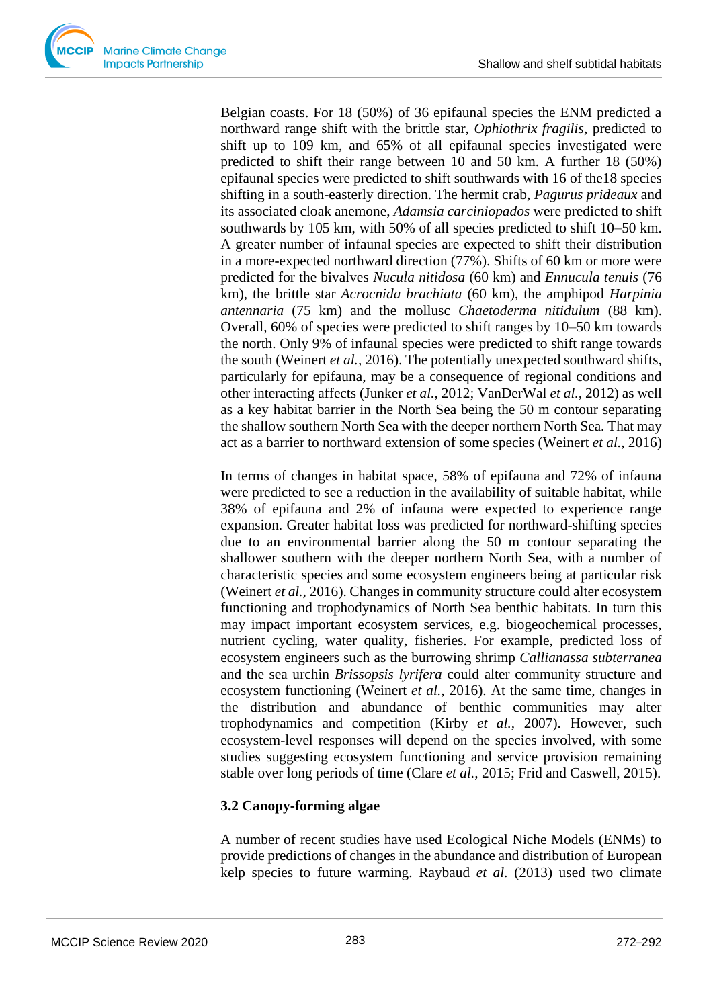

Belgian coasts. For 18 (50%) of 36 epifaunal species the ENM predicted a northward range shift with the brittle star, *Ophiothrix fragilis*, predicted to shift up to 109 km, and 65% of all epifaunal species investigated were predicted to shift their range between 10 and 50 km. A further 18 (50%) epifaunal species were predicted to shift southwards with 16 of the18 species shifting in a south-easterly direction. The hermit crab, *Pagurus prideaux* and its associated cloak anemone, *Adamsia carciniopados* were predicted to shift southwards by 105 km, with 50% of all species predicted to shift 10–50 km. A greater number of infaunal species are expected to shift their distribution in a more-expected northward direction (77%). Shifts of 60 km or more were predicted for the bivalves *Nucula nitidosa* (60 km) and *Ennucula tenuis* (76 km), the brittle star *Acrocnida brachiata* (60 km), the amphipod *Harpinia antennaria* (75 km) and the mollusc *Chaetoderma nitidulum* (88 km). Overall, 60% of species were predicted to shift ranges by 10–50 km towards the north. Only 9% of infaunal species were predicted to shift range towards the south (Weinert *et al.,* 2016). The potentially unexpected southward shifts, particularly for epifauna, may be a consequence of regional conditions and other interacting affects (Junker *et al.,* 2012; VanDerWal *et al.,* 2012) as well as a key habitat barrier in the North Sea being the 50 m contour separating the shallow southern North Sea with the deeper northern North Sea. That may act as a barrier to northward extension of some species (Weinert *et al.,* 2016)

In terms of changes in habitat space, 58% of epifauna and 72% of infauna were predicted to see a reduction in the availability of suitable habitat, while 38% of epifauna and 2% of infauna were expected to experience range expansion. Greater habitat loss was predicted for northward-shifting species due to an environmental barrier along the 50 m contour separating the shallower southern with the deeper northern North Sea, with a number of characteristic species and some ecosystem engineers being at particular risk (Weinert *et al.,* 2016). Changes in community structure could alter ecosystem functioning and trophodynamics of North Sea benthic habitats. In turn this may impact important ecosystem services, e.g. biogeochemical processes, nutrient cycling, water quality, fisheries. For example, predicted loss of ecosystem engineers such as the burrowing shrimp *Callianassa subterranea* and the sea urchin *Brissopsis lyrifera* could alter community structure and ecosystem functioning (Weinert *et al.,* 2016). At the same time, changes in the distribution and abundance of benthic communities may alter trophodynamics and competition (Kirby *et al.,* 2007). However, such ecosystem-level responses will depend on the species involved, with some studies suggesting ecosystem functioning and service provision remaining stable over long periods of time (Clare *et al.,* 2015; Frid and Caswell, 2015).

## **3.2 Canopy-forming algae**

A number of recent studies have used Ecological Niche Models (ENMs) to provide predictions of changes in the abundance and distribution of European kelp species to future warming. Raybaud *et al.* (2013) used two climate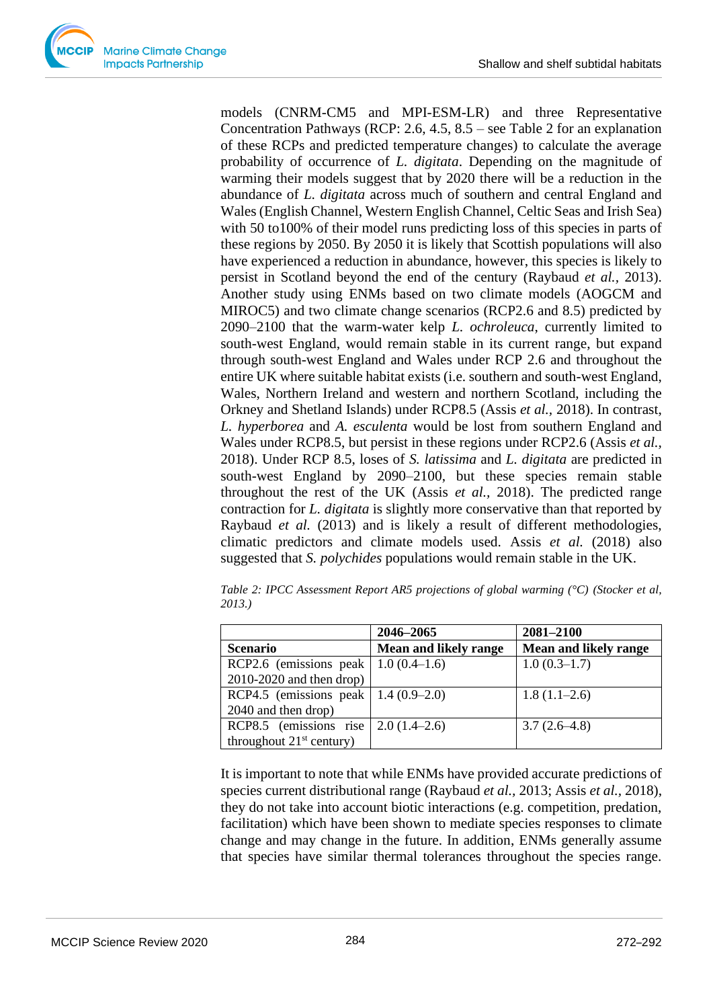models (CNRM-CM5 and MPI-ESM-LR) and three Representative Concentration Pathways (RCP: 2.6, 4.5, 8.5 – see Table 2 for an explanation of these RCPs and predicted temperature changes) to calculate the average probability of occurrence of *L. digitata*. Depending on the magnitude of warming their models suggest that by 2020 there will be a reduction in the abundance of *L. digitata* across much of southern and central England and Wales (English Channel, Western English Channel, Celtic Seas and Irish Sea) with 50 to100% of their model runs predicting loss of this species in parts of these regions by 2050. By 2050 it is likely that Scottish populations will also have experienced a reduction in abundance, however, this species is likely to persist in Scotland beyond the end of the century (Raybaud *et al.,* 2013). Another study using ENMs based on two climate models (AOGCM and MIROC5) and two climate change scenarios (RCP2.6 and 8.5) predicted by 2090–2100 that the warm-water kelp *L. ochroleuca*, currently limited to south-west England, would remain stable in its current range, but expand through south-west England and Wales under RCP 2.6 and throughout the entire UK where suitable habitat exists (i.e. southern and south-west England, Wales, Northern Ireland and western and northern Scotland, including the Orkney and Shetland Islands) under RCP8.5 (Assis *et al.,* 2018). In contrast, *L. hyperborea* and *A. esculenta* would be lost from southern England and Wales under RCP8.5, but persist in these regions under RCP2.6 (Assis *et al.,* 2018). Under RCP 8.5, loses of *S. latissima* and *L. digitata* are predicted in south-west England by 2090–2100, but these species remain stable throughout the rest of the UK (Assis *et al.,* 2018). The predicted range contraction for *L. digitata* is slightly more conservative than that reported by Raybaud *et al.* (2013) and is likely a result of different methodologies, climatic predictors and climate models used. Assis *et al.* (2018) also suggested that *S. polychides* populations would remain stable in the UK.

*Table 2: IPCC Assessment Report AR5 projections of global warming (°C) (Stocker et al, 2013.)*

|                                            | 2046-2065                    | 2081-2100                    |
|--------------------------------------------|------------------------------|------------------------------|
| <b>Scenario</b>                            | <b>Mean and likely range</b> | <b>Mean and likely range</b> |
| RCP2.6 (emissions peak   $1.0 (0.4-1.6)$ ) |                              | $1.0(0.3-1.7)$               |
| $2010-2020$ and then drop)                 |                              |                              |
| RCP4.5 (emissions peak   $1.4(0.9-2.0)$ )  |                              | $1.8(1.1-2.6)$               |
| 2040 and then drop)                        |                              |                              |
| RCP8.5 (emissions rise   $2.0 (1.4-2.6)$ ) |                              | $3.7(2.6-4.8)$               |
| throughout $21st$ century)                 |                              |                              |

It is important to note that while ENMs have provided accurate predictions of species current distributional range (Raybaud *et al.,* 2013; Assis *et al.,* 2018), they do not take into account biotic interactions (e.g. competition, predation, facilitation) which have been shown to mediate species responses to climate change and may change in the future. In addition, ENMs generally assume that species have similar thermal tolerances throughout the species range.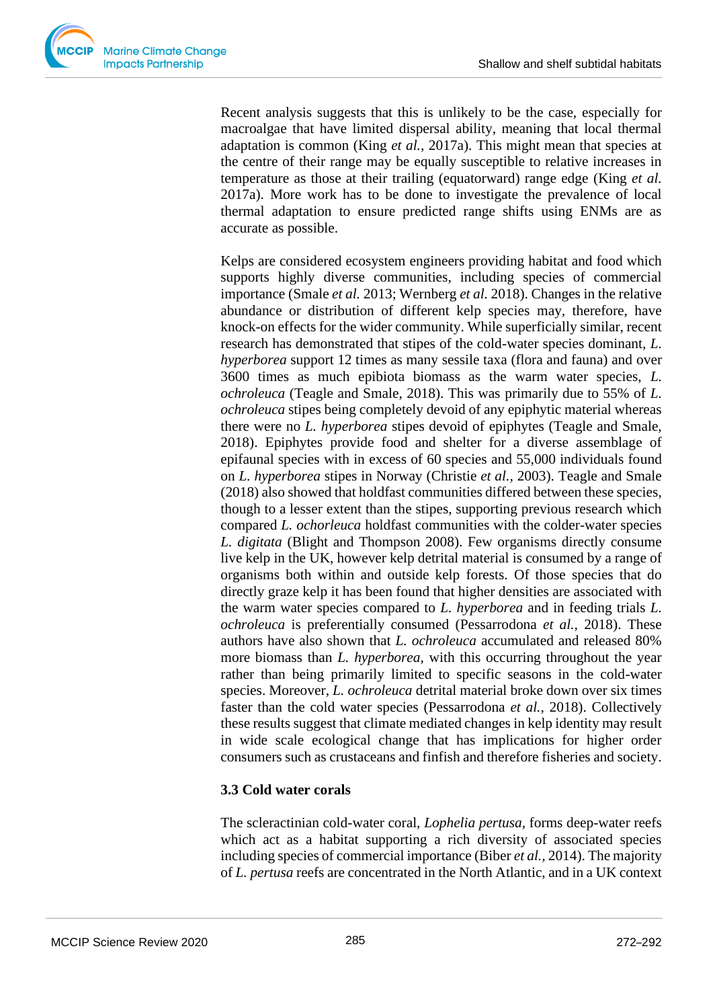

Recent analysis suggests that this is unlikely to be the case, especially for macroalgae that have limited dispersal ability, meaning that local thermal adaptation is common (King *et al.,* 2017a). This might mean that species at the centre of their range may be equally susceptible to relative increases in temperature as those at their trailing (equatorward) range edge (King *et al.* 2017a). More work has to be done to investigate the prevalence of local thermal adaptation to ensure predicted range shifts using ENMs are as accurate as possible.

Kelps are considered ecosystem engineers providing habitat and food which supports highly diverse communities, including species of commercial importance (Smale *et al.* 2013; Wernberg *et al.* 2018). Changes in the relative abundance or distribution of different kelp species may, therefore, have knock-on effects for the wider community. While superficially similar, recent research has demonstrated that stipes of the cold-water species dominant, *L. hyperborea* support 12 times as many sessile taxa (flora and fauna) and over 3600 times as much epibiota biomass as the warm water species, *L. ochroleuca* (Teagle and Smale, 2018). This was primarily due to 55% of *L. ochroleuca* stipes being completely devoid of any epiphytic material whereas there were no *L. hyperborea* stipes devoid of epiphytes (Teagle and Smale, 2018). Epiphytes provide food and shelter for a diverse assemblage of epifaunal species with in excess of 60 species and 55,000 individuals found on *L. hyperborea* stipes in Norway (Christie *et al.,* 2003). Teagle and Smale (2018) also showed that holdfast communities differed between these species, though to a lesser extent than the stipes, supporting previous research which compared *L. ochorleuca* holdfast communities with the colder-water species *L. digitata* (Blight and Thompson 2008). Few organisms directly consume live kelp in the UK, however kelp detrital material is consumed by a range of organisms both within and outside kelp forests. Of those species that do directly graze kelp it has been found that higher densities are associated with the warm water species compared to *L. hyperborea* and in feeding trials *L. ochroleuca* is preferentially consumed (Pessarrodona *et al.,* 2018). These authors have also shown that *L. ochroleuca* accumulated and released 80% more biomass than *L. hyperborea*, with this occurring throughout the year rather than being primarily limited to specific seasons in the cold-water species. Moreover, *L. ochroleuca* detrital material broke down over six times faster than the cold water species (Pessarrodona *et al.,* 2018). Collectively these results suggest that climate mediated changes in kelp identity may result in wide scale ecological change that has implications for higher order consumers such as crustaceans and finfish and therefore fisheries and society.

## **3.3 Cold water corals**

The scleractinian cold-water coral, *Lophelia pertusa*, forms deep-water reefs which act as a habitat supporting a rich diversity of associated species including species of commercial importance (Biber *et al.,* 2014). The majority of *L. pertusa* reefs are concentrated in the North Atlantic, and in a UK context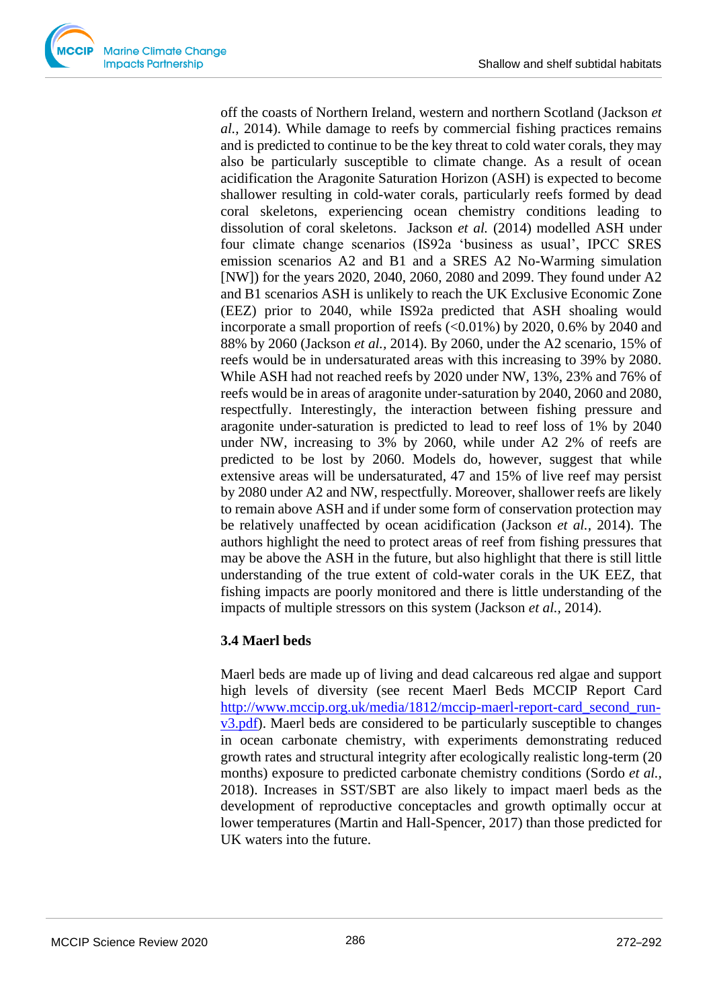

off the coasts of Northern Ireland, western and northern Scotland (Jackson *et al.,* 2014). While damage to reefs by commercial fishing practices remains and is predicted to continue to be the key threat to cold water corals, they may also be particularly susceptible to climate change. As a result of ocean acidification the Aragonite Saturation Horizon (ASH) is expected to become shallower resulting in cold-water corals, particularly reefs formed by dead coral skeletons, experiencing ocean chemistry conditions leading to dissolution of coral skeletons. Jackson *et al.* (2014) modelled ASH under four climate change scenarios (IS92a 'business as usual', IPCC SRES emission scenarios A2 and B1 and a SRES A2 No-Warming simulation [NW]) for the years 2020, 2040, 2060, 2080 and 2099. They found under A2 and B1 scenarios ASH is unlikely to reach the UK Exclusive Economic Zone (EEZ) prior to 2040, while IS92a predicted that ASH shoaling would incorporate a small proportion of reefs  $\langle 0.01\% \rangle$  by 2020, 0.6% by 2040 and 88% by 2060 (Jackson *et al.,* 2014). By 2060, under the A2 scenario, 15% of reefs would be in undersaturated areas with this increasing to 39% by 2080. While ASH had not reached reefs by 2020 under NW, 13%, 23% and 76% of reefs would be in areas of aragonite under-saturation by 2040, 2060 and 2080, respectfully. Interestingly, the interaction between fishing pressure and aragonite under-saturation is predicted to lead to reef loss of 1% by 2040 under NW, increasing to 3% by 2060, while under A2 2% of reefs are predicted to be lost by 2060. Models do, however, suggest that while extensive areas will be undersaturated, 47 and 15% of live reef may persist by 2080 under A2 and NW, respectfully. Moreover, shallower reefs are likely to remain above ASH and if under some form of conservation protection may be relatively unaffected by ocean acidification (Jackson *et al.,* 2014). The authors highlight the need to protect areas of reef from fishing pressures that may be above the ASH in the future, but also highlight that there is still little understanding of the true extent of cold-water corals in the UK EEZ, that fishing impacts are poorly monitored and there is little understanding of the impacts of multiple stressors on this system (Jackson *et al.,* 2014).

# **3.4 Maerl beds**

Maerl beds are made up of living and dead calcareous red algae and support high levels of diversity (see recent Maerl Beds MCCIP Report Card [http://www.mccip.org.uk/media/1812/mccip-maerl-report-card\\_second\\_run](http://www.mccip.org.uk/media/1812/mccip-maerl-report-card_second_run-v3.pdf)[v3.pdf\)](http://www.mccip.org.uk/media/1812/mccip-maerl-report-card_second_run-v3.pdf). Maerl beds are considered to be particularly susceptible to changes in ocean carbonate chemistry, with experiments demonstrating reduced growth rates and structural integrity after ecologically realistic long-term (20 months) exposure to predicted carbonate chemistry conditions (Sordo *et al.,* 2018). Increases in SST/SBT are also likely to impact maerl beds as the development of reproductive conceptacles and growth optimally occur at lower temperatures (Martin and Hall-Spencer, 2017) than those predicted for UK waters into the future.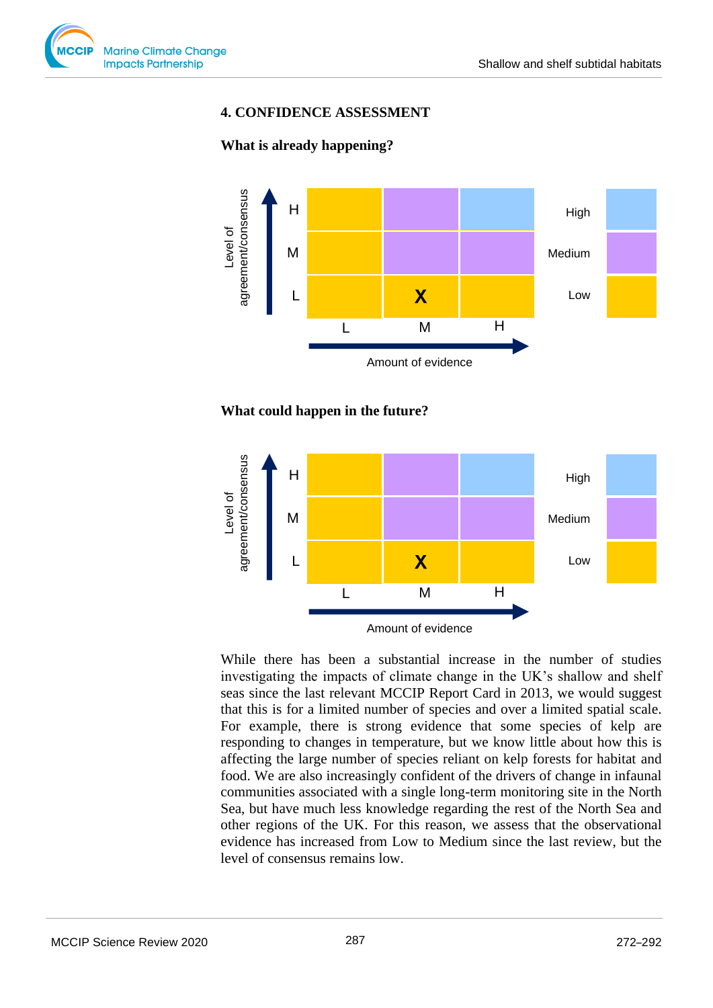

## **4. CONFIDENCE ASSESSMENT**









While there has been a substantial increase in the number of studies investigating the impacts of climate change in the UK's shallow and shelf seas since the last relevant MCCIP Report Card in 2013, we would suggest that this is for a limited number of species and over a limited spatial scale. For example, there is strong evidence that some species of kelp are responding to changes in temperature, but we know little about how this is affecting the large number of species reliant on kelp forests for habitat and food. We are also increasingly confident of the drivers of change in infaunal communities associated with a single long-term monitoring site in the North Sea, but have much less knowledge regarding the rest of the North Sea and other regions of the UK. For this reason, we assess that the observational evidence has increased from Low to Medium since the last review, but the level of consensus remains low.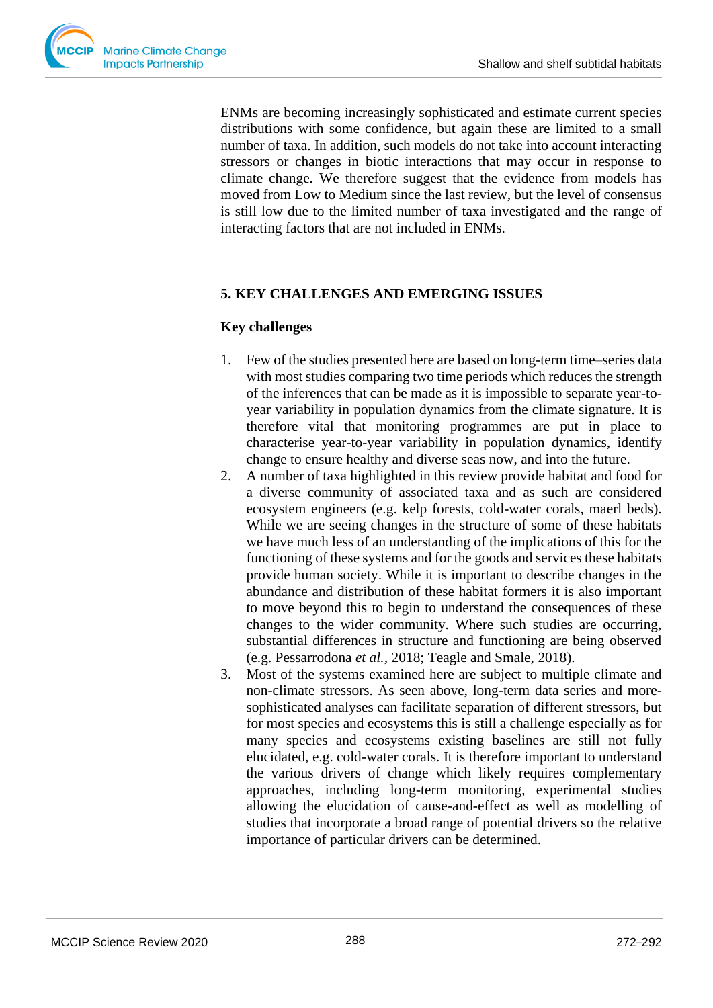ENMs are becoming increasingly sophisticated and estimate current species distributions with some confidence, but again these are limited to a small number of taxa. In addition, such models do not take into account interacting stressors or changes in biotic interactions that may occur in response to climate change. We therefore suggest that the evidence from models has moved from Low to Medium since the last review, but the level of consensus is still low due to the limited number of taxa investigated and the range of interacting factors that are not included in ENMs.

## **5. KEY CHALLENGES AND EMERGING ISSUES**

## **Key challenges**

- 1. Few of the studies presented here are based on long-term time–series data with most studies comparing two time periods which reduces the strength of the inferences that can be made as it is impossible to separate year-toyear variability in population dynamics from the climate signature. It is therefore vital that monitoring programmes are put in place to characterise year-to-year variability in population dynamics, identify change to ensure healthy and diverse seas now, and into the future.
- 2. A number of taxa highlighted in this review provide habitat and food for a diverse community of associated taxa and as such are considered ecosystem engineers (e.g. kelp forests, cold-water corals, maerl beds). While we are seeing changes in the structure of some of these habitats we have much less of an understanding of the implications of this for the functioning of these systems and for the goods and services these habitats provide human society. While it is important to describe changes in the abundance and distribution of these habitat formers it is also important to move beyond this to begin to understand the consequences of these changes to the wider community. Where such studies are occurring, substantial differences in structure and functioning are being observed (e.g. Pessarrodona *et al.,* 2018; Teagle and Smale, 2018).
- 3. Most of the systems examined here are subject to multiple climate and non-climate stressors. As seen above, long-term data series and moresophisticated analyses can facilitate separation of different stressors, but for most species and ecosystems this is still a challenge especially as for many species and ecosystems existing baselines are still not fully elucidated, e.g. cold-water corals. It is therefore important to understand the various drivers of change which likely requires complementary approaches, including long-term monitoring, experimental studies allowing the elucidation of cause-and-effect as well as modelling of studies that incorporate a broad range of potential drivers so the relative importance of particular drivers can be determined.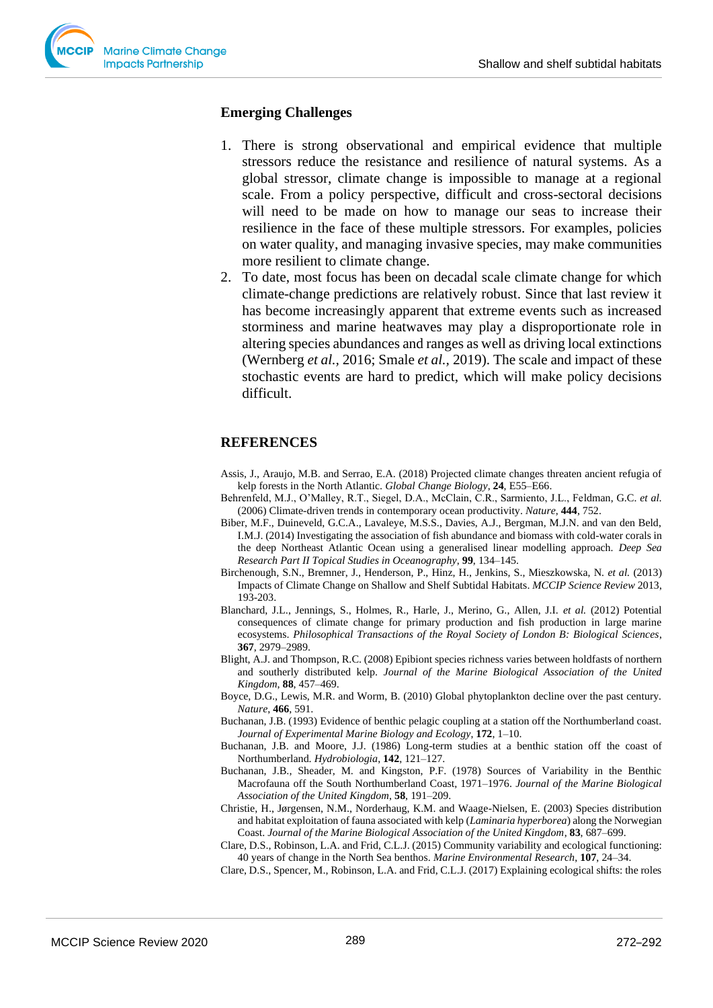

## **Emerging Challenges**

- 1. There is strong observational and empirical evidence that multiple stressors reduce the resistance and resilience of natural systems. As a global stressor, climate change is impossible to manage at a regional scale. From a policy perspective, difficult and cross-sectoral decisions will need to be made on how to manage our seas to increase their resilience in the face of these multiple stressors. For examples, policies on water quality, and managing invasive species, may make communities more resilient to climate change.
- 2. To date, most focus has been on decadal scale climate change for which climate-change predictions are relatively robust. Since that last review it has become increasingly apparent that extreme events such as increased storminess and marine heatwaves may play a disproportionate role in altering species abundances and ranges as well as driving local extinctions (Wernberg *et al.,* 2016; Smale *et al.,* 2019). The scale and impact of these stochastic events are hard to predict, which will make policy decisions difficult.

## **REFERENCES**

- Assis, J., Araujo, M.B. and Serrao, E.A. (2018) Projected climate changes threaten ancient refugia of kelp forests in the North Atlantic. *Global Change Biology*, **24**, E55–E66.
- Behrenfeld, M.J., O'Malley, R.T., Siegel, D.A., McClain, C.R., Sarmiento, J.L., Feldman, G.C. *et al.* (2006) Climate-driven trends in contemporary ocean productivity. *Nature*, **444**, 752.
- Biber, M.F., Duineveld, G.C.A., Lavaleye, M.S.S., Davies, A.J., Bergman, M.J.N. and van den Beld, I.M.J. (2014) Investigating the association of fish abundance and biomass with cold-water corals in the deep Northeast Atlantic Ocean using a generalised linear modelling approach. *Deep Sea Research Part II Topical Studies in Oceanography*, **99**, 134–145.
- Birchenough, S.N., Bremner, J., Henderson, P., Hinz, H., Jenkins, S., Mieszkowska, N. *et al.* (2013) Impacts of Climate Change on Shallow and Shelf Subtidal Habitats. *MCCIP Science Review* 2013, 193-203.
- Blanchard, J.L., Jennings, S., Holmes, R., Harle, J., Merino, G., Allen, J.I. *et al.* (2012) Potential consequences of climate change for primary production and fish production in large marine ecosystems. *Philosophical Transactions of the Royal Society of London B: Biological Sciences*, **367**, 2979–2989.
- Blight, A.J. and Thompson, R.C. (2008) Epibiont species richness varies between holdfasts of northern and southerly distributed kelp. *Journal of the Marine Biological Association of the United Kingdom*, **88**, 457–469.
- Boyce, D.G., Lewis, M.R. and Worm, B. (2010) Global phytoplankton decline over the past century. *Nature*, **466**, 591.
- Buchanan, J.B. (1993) Evidence of benthic pelagic coupling at a station off the Northumberland coast. *Journal of Experimental Marine Biology and Ecology*, **172**, 1–10.
- Buchanan, J.B. and Moore, J.J. (1986) Long-term studies at a benthic station off the coast of Northumberland. *Hydrobiologia*, **142**, 121–127.
- Buchanan, J.B., Sheader, M. and Kingston, P.F. (1978) Sources of Variability in the Benthic Macrofauna off the South Northumberland Coast, 1971–1976. *Journal of the Marine Biological Association of the United Kingdom*, **58**, 191–209.
- Christie, H., Jørgensen, N.M., Norderhaug, K.M. and Waage-Nielsen, E. (2003) Species distribution and habitat exploitation of fauna associated with kelp (*Laminaria hyperborea*) along the Norwegian Coast. *Journal of the Marine Biological Association of the United Kingdom*, **83**, 687–699.
- Clare, D.S., Robinson, L.A. and Frid, C.L.J. (2015) Community variability and ecological functioning: 40 years of change in the North Sea benthos. *Marine Environmental Research*, **107**, 24–34.
- Clare, D.S., Spencer, M., Robinson, L.A. and Frid, C.L.J. (2017) Explaining ecological shifts: the roles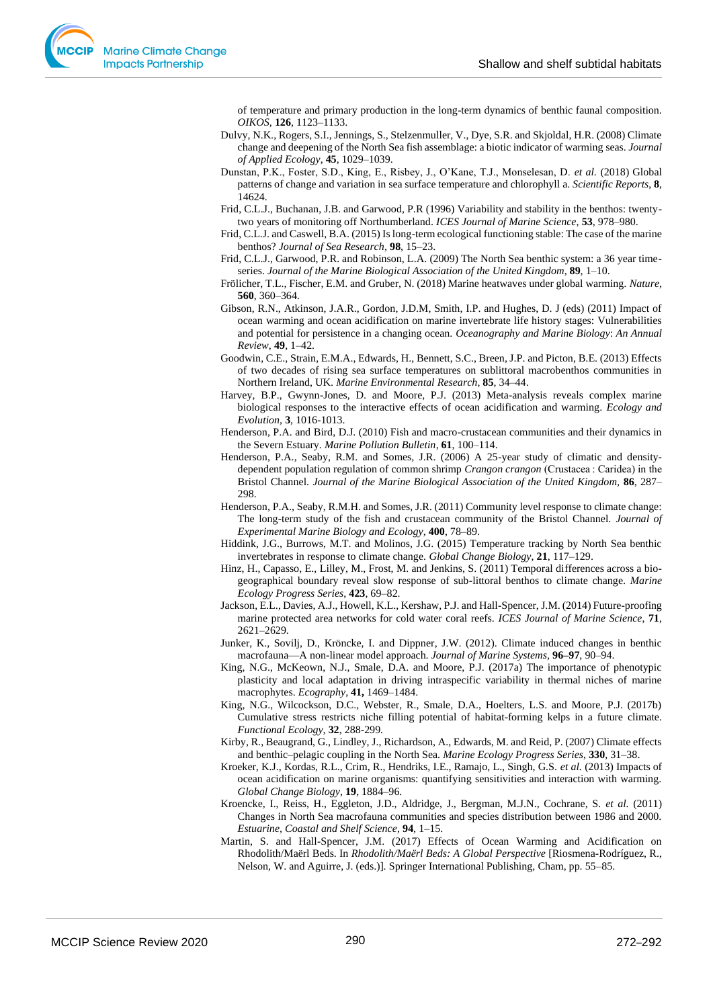of temperature and primary production in the long-term dynamics of benthic faunal composition. *OIKOS*, **126**, 1123–1133.

- Dulvy, N.K., Rogers, S.I., Jennings, S., Stelzenmuller, V., Dye, S.R. and Skjoldal, H.R. (2008) Climate change and deepening of the North Sea fish assemblage: a biotic indicator of warming seas. *Journal of Applied Ecology*, **45**, 1029–1039.
- Dunstan, P.K., Foster, S.D., King, E., Risbey, J., O'Kane, T.J., Monselesan, D. *et al.* (2018) Global patterns of change and variation in sea surface temperature and chlorophyll a. *Scientific Reports*, **8**, 14624.
- Frid, C.L.J., Buchanan, J.B. and Garwood, P.R (1996) Variability and stability in the benthos: twentytwo years of monitoring off Northumberland. *ICES Journal of Marine Science*, **53**, 978–980.
- Frid, C.L.J. and Caswell, B.A. (2015) Is long-term ecological functioning stable: The case of the marine benthos? *Journal of Sea Research*, **98**, 15–23.
- Frid, C.L.J., Garwood, P.R. and Robinson, L.A. (2009) The North Sea benthic system: a 36 year timeseries. *Journal of the Marine Biological Association of the United Kingdom*, **89**, 1–10.
- Frölicher, T.L., Fischer, E.M. and Gruber, N. (2018) Marine heatwaves under global warming. *Nature*, **560**, 360–364.
- Gibson, R.N., Atkinson, J.A.R., Gordon, J.D.M, Smith, I.P. and Hughes, D. J (eds) (2011) Impact of ocean warming and ocean acidification on marine invertebrate life history stages: Vulnerabilities and potential for persistence in a changing ocean. *Oceanography and Marine Biology*: *An Annual Review*, **49**, 1–42.
- Goodwin, C.E., Strain, E.M.A., Edwards, H., Bennett, S.C., Breen, J.P. and Picton, B.E. (2013) Effects of two decades of rising sea surface temperatures on sublittoral macrobenthos communities in Northern Ireland, UK. *Marine Environmental Research*, **85**, 34–44.
- Harvey, B.P., Gwynn-Jones, D. and Moore, P.J. (2013) Meta-analysis reveals complex marine biological responses to the interactive effects of ocean acidification and warming. *Ecology and Evolution*, **3**, 1016-1013.
- Henderson, P.A. and Bird, D.J. (2010) Fish and macro-crustacean communities and their dynamics in the Severn Estuary. *Marine Pollution Bulletin*, **61**, 100–114.
- Henderson, P.A., Seaby, R.M. and Somes, J.R. (2006) A 25-year study of climatic and densitydependent population regulation of common shrimp *Crangon crangon* (Crustacea : Caridea) in the Bristol Channel. *Journal of the Marine Biological Association of the United Kingdom,* **86**, 287– 298.
- Henderson, P.A., Seaby, R.M.H. and Somes, J.R. (2011) Community level response to climate change: The long-term study of the fish and crustacean community of the Bristol Channel. *Journal of Experimental Marine Biology and Ecology*, **400**, 78–89.
- Hiddink, J.G., Burrows, M.T. and Molinos, J.G. (2015) Temperature tracking by North Sea benthic invertebrates in response to climate change. *Global Change Biology*, **21**, 117–129.
- Hinz, H., Capasso, E., Lilley, M., Frost, M. and Jenkins, S. (2011) Temporal differences across a biogeographical boundary reveal slow response of sub-littoral benthos to climate change. *Marine Ecology Progress Series*, **423**, 69–82.
- Jackson, E.L., Davies, A.J., Howell, K.L., Kershaw, P.J. and Hall-Spencer, J.M. (2014) Future-proofing marine protected area networks for cold water coral reefs. *ICES Journal of Marine Science*, **71**, 2621–2629.
- Junker, K., Sovilj, D., Kröncke, I. and Dippner, J.W. (2012). Climate induced changes in benthic macrofauna—A non-linear model approach. *Journal of Marine Systems*, **96–97**, 90–94.
- King, N.G., McKeown, N.J., Smale, D.A. and Moore, P.J. (2017a) The importance of phenotypic plasticity and local adaptation in driving intraspecific variability in thermal niches of marine macrophytes. *Ecography*, **41,** 1469–1484.
- King, N.G., Wilcockson, D.C., Webster, R., Smale, D.A., Hoelters, L.S. and Moore, P.J. (2017b) Cumulative stress restricts niche filling potential of habitat-forming kelps in a future climate. *Functional Ecology,* **32**, 288-299*.*
- Kirby, R., Beaugrand, G., Lindley, J., Richardson, A., Edwards, M. and Reid, P. (2007) Climate effects and benthic–pelagic coupling in the North Sea. *Marine Ecology Progress Series*, **330**, 31–38.
- Kroeker, K.J., Kordas, R.L., Crim, R., Hendriks, I.E., Ramajo, L., Singh, G.S. *et al.* (2013) Impacts of ocean acidification on marine organisms: quantifying sensitivities and interaction with warming. *Global Change Biology*, **19**, 1884–96.
- Kroencke, I., Reiss, H., Eggleton, J.D., Aldridge, J., Bergman, M.J.N., Cochrane, S. *et al.* (2011) Changes in North Sea macrofauna communities and species distribution between 1986 and 2000. *Estuarine, Coastal and Shelf Science*, **94**, 1–15.
- Martin, S. and Hall-Spencer, J.M. (2017) Effects of Ocean Warming and Acidification on Rhodolith/Maërl Beds. In *Rhodolith/Maërl Beds: A Global Perspective* [Riosmena-Rodríguez, R., Nelson, W. and Aguirre, J. (eds.)]. Springer International Publishing, Cham, pp. 55–85.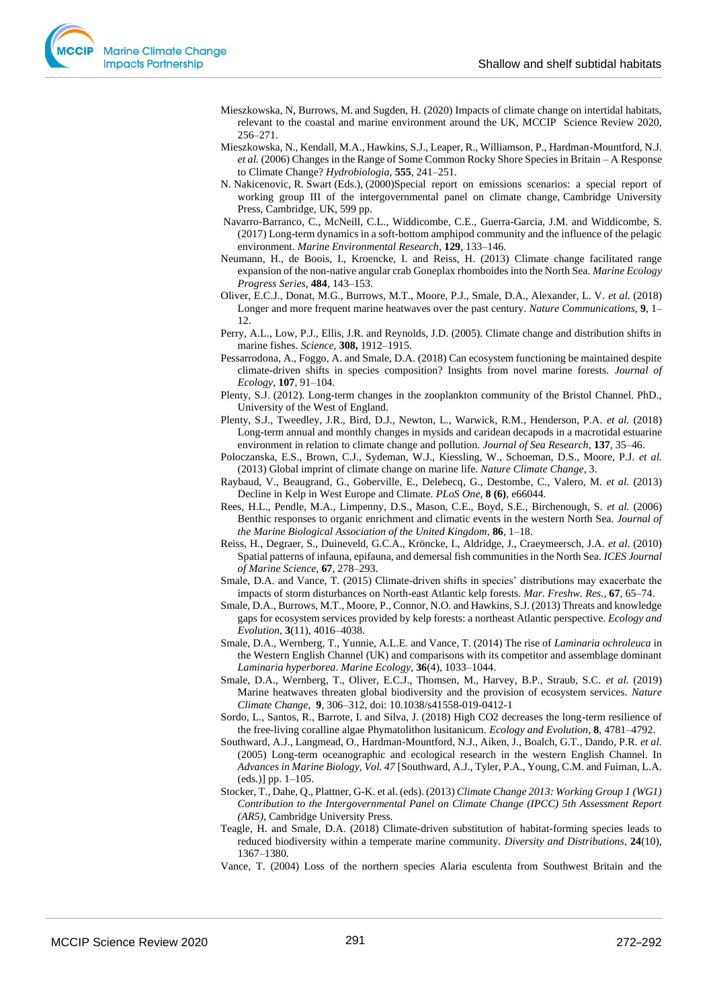- Mieszkowska, N, Burrows, M. and Sugden, H. (2020) Impacts of climate change on intertidal habitats, relevant to the coastal and marine environment around the UK, MCCIP Science Review 2020, 256–271.
- Mieszkowska, N., Kendall, M.A., Hawkins, S.J., Leaper, R., Williamson, P., Hardman-Mountford, N.J. *et al.* (2006) Changes in the Range of Some Common Rocky Shore Species in Britain – A Response to Climate Change? *Hydrobiologia*, **555**, 241–251.
- N. Nakicenovic, R. Swart (Eds.), (2000)Special report on emissions scenarios: a special report of working group III of the intergovernmental panel on climate change, Cambridge University Press, Cambridge, UK, 599 pp.
- Navarro-Barranco, C., McNeill, C.L., Widdicombe, C.E., Guerra-Garcia, J.M. and Widdicombe, S. (2017) Long-term dynamics in a soft-bottom amphipod community and the influence of the pelagic environment. *Marine Environmental Research*, **129**, 133–146.
- Neumann, H., de Boois, I., Kroencke, I. and Reiss, H. (2013) Climate change facilitated range expansion of the non-native angular crab Goneplax rhomboides into the North Sea. *Marine Ecology Progress Series*, **484**, 143–153.
- Oliver, E.C.J., Donat, M.G., Burrows, M.T., Moore, P.J., Smale, D.A., Alexander, L. V. *et al.* (2018) Longer and more frequent marine heatwaves over the past century. *Nature Communications*, **9**, 1– 12.
- Perry, A.L., Low, P.J., Ellis, J.R. and Reynolds, J.D. (2005). Climate change and distribution shifts in marine fishes. *Science*, **308,** 1912–1915.
- Pessarrodona, A., Foggo, A. and Smale, D.A. (2018) Can ecosystem functioning be maintained despite climate-driven shifts in species composition? Insights from novel marine forests. *Journal of Ecology*, **107**, 91–104.
- Plenty, S.J. (2012). Long-term changes in the zooplankton community of the Bristol Channel. PhD., University of the West of England.
- Plenty, S.J., Tweedley, J.R., Bird, D.J., Newton, L., Warwick, R.M., Henderson, P.A. *et al.* (2018) Long-term annual and monthly changes in mysids and caridean decapods in a macrotidal estuarine environment in relation to climate change and pollution. *Journal of Sea Research*, **137**, 35–46.
- Poloczanska, E.S., Brown, C.J., Sydeman, W.J., Kiessling, W., Schoeman, D.S., Moore, P.J. *et al.* (2013) Global imprint of climate change on marine life. *Nature Climate Change*, 3.
- Raybaud, V., Beaugrand, G., Goberville, E., Delebecq, G., Destombe, C., Valero, M. *et al.* (2013) Decline in Kelp in West Europe and Climate. *PLoS One*, **8 (6)**, e66044.
- Rees, H.L., Pendle, M.A., Limpenny, D.S., Mason, C.E., Boyd, S.E., Birchenough, S. *et al.* (2006) Benthic responses to organic enrichment and climatic events in the western North Sea. *Journal of the Marine Biological Association of the United Kingdom*, **86**, 1–18.
- Reiss, H., Degraer, S., Duineveld, G.C.A., Kröncke, I., Aldridge, J., Craeymeersch, J.A. *et al.* (2010) Spatial patterns of infauna, epifauna, and demersal fish communities in the North Sea. *ICES Journal of Marine Science*, **67**, 278–293.
- Smale, D.A. and Vance, T. (2015) Climate-driven shifts in species' distributions may exacerbate the impacts of storm disturbances on North-east Atlantic kelp forests. *Mar. Freshw. Res.*, **67**, 65–74.
- Smale, D.A., Burrows, M.T., Moore, P., Connor, N.O. and Hawkins, S.J. (2013) Threats and knowledge gaps for ecosystem services provided by kelp forests: a northeast Atlantic perspective. *Ecology and Evolution*, **3**(11), 4016–4038.
- Smale, D.A., Wernberg, T., Yunnie, A.L.E. and Vance, T. (2014) The rise of *Laminaria ochroleuca* in the Western English Channel (UK) and comparisons with its competitor and assemblage dominant *Laminaria hyperborea*. *Marine Ecology*, **36**(4), 1033–1044.
- Smale, D.A., Wernberg, T., Oliver, E.C.J., Thomsen, M., Harvey, B.P., Straub, S.C. *et al.* (2019) Marine heatwaves threaten global biodiversity and the provision of ecosystem services. *Nature Climate Change,* **9**, 306–312, doi: 10.1038/s41558-019-0412-1
- Sordo, L., Santos, R., Barrote, I. and Silva, J. (2018) High CO2 decreases the long-term resilience of the free-living coralline algae Phymatolithon lusitanicum. *Ecology and Evolution*, **8**, 4781–4792.
- Southward, A.J., Langmead, O., Hardman-Mountford, N.J., Aiken, J., Boalch, G.T., Dando, P.R. *et al.* (2005) Long-term oceanographic and ecological research in the western English Channel. In *Advances in Marine Biology, Vol. 47* [Southward, A.J., Tyler, P.A., Young, C.M. and Fuiman, L.A. (eds.)] pp. 1–105.
- Stocker, T., Dahe, Q., Plattner, G-K. et al. (eds). (2013) *Climate Change 2013: Working Group 1 (WG1) Contribution to the Intergovernmental Panel on Climate Change (IPCC) 5th Assessment Report (AR5)*, Cambridge University Press.
- Teagle, H. and Smale, D.A. (2018) Climate-driven substitution of habitat-forming species leads to reduced biodiversity within a temperate marine community. *Diversity and Distributions*, **24**(10), 1367–1380.
- Vance, T. (2004) Loss of the northern species Alaria esculenta from Southwest Britain and the